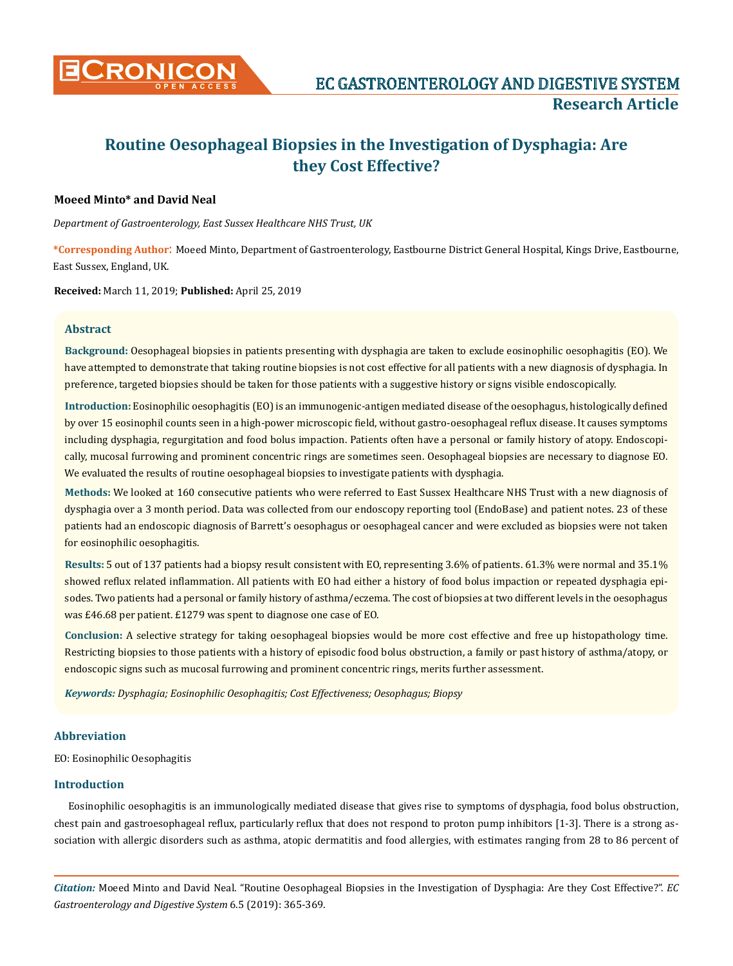

# **Routine Oesophageal Biopsies in the Investigation of Dysphagia: Are they Cost Effective?**

## **Moeed Minto\* and David Neal**

*Department of Gastroenterology, East Sussex Healthcare NHS Trust, UK*

**\*Corresponding Author**: Moeed Minto, Department of Gastroenterology, Eastbourne District General Hospital, Kings Drive, Eastbourne, East Sussex, England, UK.

**Received:** March 11, 2019; **Published:** April 25, 2019

## **Abstract**

**Background:** Oesophageal biopsies in patients presenting with dysphagia are taken to exclude eosinophilic oesophagitis (EO). We have attempted to demonstrate that taking routine biopsies is not cost effective for all patients with a new diagnosis of dysphagia. In preference, targeted biopsies should be taken for those patients with a suggestive history or signs visible endoscopically.

**Introduction:** Eosinophilic oesophagitis (EO) is an immunogenic-antigen mediated disease of the oesophagus, histologically defined by over 15 eosinophil counts seen in a high-power microscopic field, without gastro-oesophageal reflux disease. It causes symptoms including dysphagia, regurgitation and food bolus impaction. Patients often have a personal or family history of atopy. Endoscopically, mucosal furrowing and prominent concentric rings are sometimes seen. Oesophageal biopsies are necessary to diagnose EO. We evaluated the results of routine oesophageal biopsies to investigate patients with dysphagia.

**Methods:** We looked at 160 consecutive patients who were referred to East Sussex Healthcare NHS Trust with a new diagnosis of dysphagia over a 3 month period. Data was collected from our endoscopy reporting tool (EndoBase) and patient notes. 23 of these patients had an endoscopic diagnosis of Barrett's oesophagus or oesophageal cancer and were excluded as biopsies were not taken for eosinophilic oesophagitis.

**Results:** 5 out of 137 patients had a biopsy result consistent with EO, representing 3.6% of patients. 61.3% were normal and 35.1% showed reflux related inflammation. All patients with EO had either a history of food bolus impaction or repeated dysphagia episodes. Two patients had a personal or family history of asthma/eczema. The cost of biopsies at two different levels in the oesophagus was £46.68 per patient. £1279 was spent to diagnose one case of EO.

**Conclusion:** A selective strategy for taking oesophageal biopsies would be more cost effective and free up histopathology time. Restricting biopsies to those patients with a history of episodic food bolus obstruction, a family or past history of asthma/atopy, or endoscopic signs such as mucosal furrowing and prominent concentric rings, merits further assessment.

*Keywords: Dysphagia; Eosinophilic Oesophagitis; Cost Effectiveness; Oesophagus; Biopsy* 

## **Abbreviation**

EO: Eosinophilic Oesophagitis

#### **Introduction**

Eosinophilic oesophagitis is an immunologically mediated disease that gives rise to symptoms of dysphagia, food bolus obstruction, chest pain and gastroesophageal reflux, particularly reflux that does not respond to proton pump inhibitors [1-3]. There is a strong association with allergic disorders such as asthma, atopic dermatitis and food allergies, with estimates ranging from 28 to 86 percent of

*Citation:* Moeed Minto and David Neal. "Routine Oesophageal Biopsies in the Investigation of Dysphagia: Are they Cost Effective?". *EC Gastroenterology and Digestive System* 6.5 (2019): 365-369.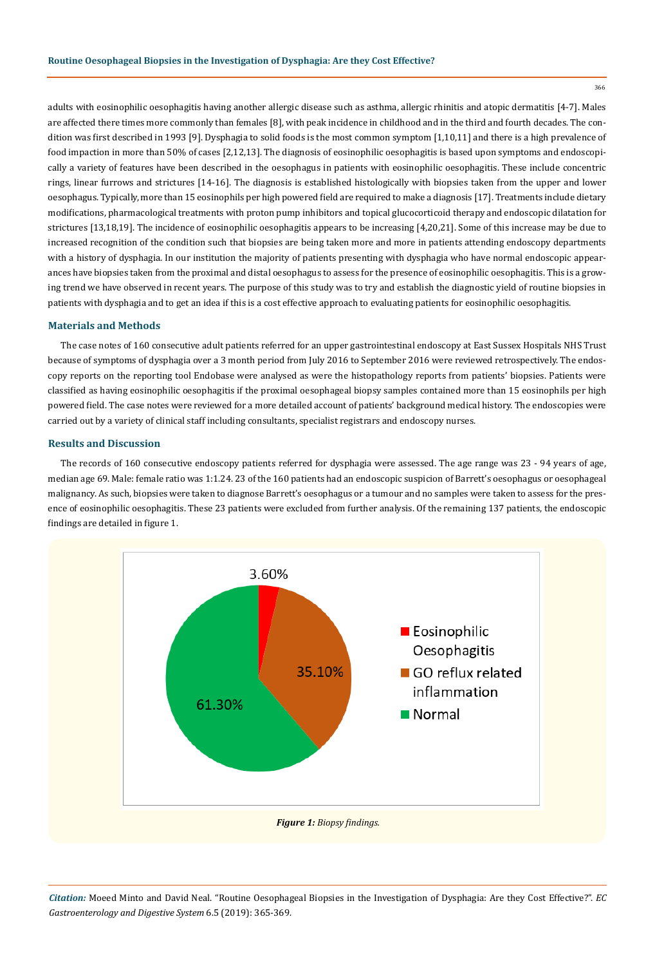366

adults with eosinophilic oesophagitis having another allergic disease such as asthma, allergic rhinitis and atopic dermatitis [4-7]. Males are affected there times more commonly than females [8], with peak incidence in childhood and in the third and fourth decades. The condition was first described in 1993 [9]. Dysphagia to solid foods is the most common symptom [1,10,11] and there is a high prevalence of food impaction in more than 50% of cases [2,12,13]. The diagnosis of eosinophilic oesophagitis is based upon symptoms and endoscopically a variety of features have been described in the oesophagus in patients with eosinophilic oesophagitis. These include concentric rings, linear furrows and strictures [14-16]. The diagnosis is established histologically with biopsies taken from the upper and lower oesophagus. Typically, more than 15 eosinophils per high powered field are required to make a diagnosis [17]. Treatments include dietary modifications, pharmacological treatments with proton pump inhibitors and topical glucocorticoid therapy and endoscopic dilatation for strictures [13,18,19]. The incidence of eosinophilic oesophagitis appears to be increasing [4,20,21]. Some of this increase may be due to increased recognition of the condition such that biopsies are being taken more and more in patients attending endoscopy departments with a history of dysphagia. In our institution the majority of patients presenting with dysphagia who have normal endoscopic appearances have biopsies taken from the proximal and distal oesophagus to assess for the presence of eosinophilic oesophagitis. This is a growing trend we have observed in recent years. The purpose of this study was to try and establish the diagnostic yield of routine biopsies in patients with dysphagia and to get an idea if this is a cost effective approach to evaluating patients for eosinophilic oesophagitis.

## **Materials and Methods**

The case notes of 160 consecutive adult patients referred for an upper gastrointestinal endoscopy at East Sussex Hospitals NHS Trust because of symptoms of dysphagia over a 3 month period from July 2016 to September 2016 were reviewed retrospectively. The endoscopy reports on the reporting tool Endobase were analysed as were the histopathology reports from patients' biopsies. Patients were classified as having eosinophilic oesophagitis if the proximal oesophageal biopsy samples contained more than 15 eosinophils per high powered field. The case notes were reviewed for a more detailed account of patients' background medical history. The endoscopies were carried out by a variety of clinical staff including consultants, specialist registrars and endoscopy nurses.

## **Results and Discussion**

The records of 160 consecutive endoscopy patients referred for dysphagia were assessed. The age range was 23 - 94 years of age, median age 69. Male: female ratio was 1:1.24. 23 of the 160 patients had an endoscopic suspicion of Barrett's oesophagus or oesophageal malignancy. As such, biopsies were taken to diagnose Barrett's oesophagus or a tumour and no samples were taken to assess for the presence of eosinophilic oesophagitis. These 23 patients were excluded from further analysis. Of the remaining 137 patients, the endoscopic findings are detailed in figure 1.



*Citation:* Moeed Minto and David Neal. "Routine Oesophageal Biopsies in the Investigation of Dysphagia: Are they Cost Effective?". *EC Gastroenterology and Digestive System* 6.5 (2019): 365-369.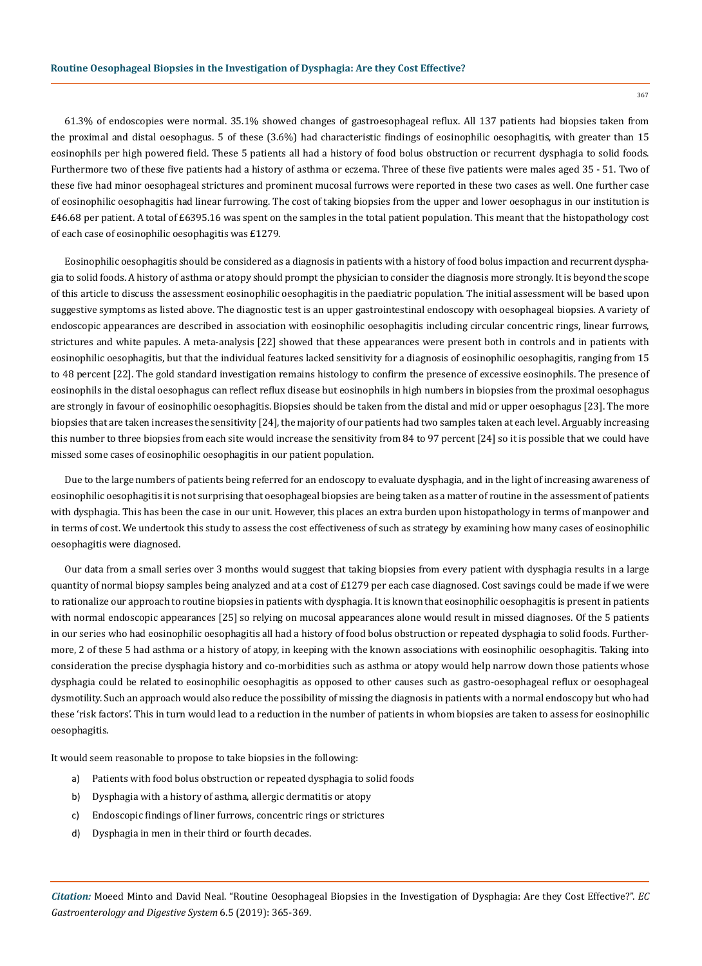61.3% of endoscopies were normal. 35.1% showed changes of gastroesophageal reflux. All 137 patients had biopsies taken from the proximal and distal oesophagus. 5 of these (3.6%) had characteristic findings of eosinophilic oesophagitis, with greater than 15 eosinophils per high powered field. These 5 patients all had a history of food bolus obstruction or recurrent dysphagia to solid foods. Furthermore two of these five patients had a history of asthma or eczema. Three of these five patients were males aged 35 - 51. Two of these five had minor oesophageal strictures and prominent mucosal furrows were reported in these two cases as well. One further case of eosinophilic oesophagitis had linear furrowing. The cost of taking biopsies from the upper and lower oesophagus in our institution is £46.68 per patient. A total of £6395.16 was spent on the samples in the total patient population. This meant that the histopathology cost of each case of eosinophilic oesophagitis was £1279.

Eosinophilic oesophagitis should be considered as a diagnosis in patients with a history of food bolus impaction and recurrent dysphagia to solid foods. A history of asthma or atopy should prompt the physician to consider the diagnosis more strongly. It is beyond the scope of this article to discuss the assessment eosinophilic oesophagitis in the paediatric population. The initial assessment will be based upon suggestive symptoms as listed above. The diagnostic test is an upper gastrointestinal endoscopy with oesophageal biopsies. A variety of endoscopic appearances are described in association with eosinophilic oesophagitis including circular concentric rings, linear furrows, strictures and white papules. A meta-analysis [22] showed that these appearances were present both in controls and in patients with eosinophilic oesophagitis, but that the individual features lacked sensitivity for a diagnosis of eosinophilic oesophagitis, ranging from 15 to 48 percent [22]. The gold standard investigation remains histology to confirm the presence of excessive eosinophils. The presence of eosinophils in the distal oesophagus can reflect reflux disease but eosinophils in high numbers in biopsies from the proximal oesophagus are strongly in favour of eosinophilic oesophagitis. Biopsies should be taken from the distal and mid or upper oesophagus [23]. The more biopsies that are taken increases the sensitivity [24], the majority of our patients had two samples taken at each level. Arguably increasing this number to three biopsies from each site would increase the sensitivity from 84 to 97 percent [24] so it is possible that we could have missed some cases of eosinophilic oesophagitis in our patient population.

Due to the large numbers of patients being referred for an endoscopy to evaluate dysphagia, and in the light of increasing awareness of eosinophilic oesophagitis it is not surprising that oesophageal biopsies are being taken as a matter of routine in the assessment of patients with dysphagia. This has been the case in our unit. However, this places an extra burden upon histopathology in terms of manpower and in terms of cost. We undertook this study to assess the cost effectiveness of such as strategy by examining how many cases of eosinophilic oesophagitis were diagnosed.

Our data from a small series over 3 months would suggest that taking biopsies from every patient with dysphagia results in a large quantity of normal biopsy samples being analyzed and at a cost of  $£1279$  per each case diagnosed. Cost savings could be made if we were to rationalize our approach to routine biopsies in patients with dysphagia. It is known that eosinophilic oesophagitis is present in patients with normal endoscopic appearances [25] so relying on mucosal appearances alone would result in missed diagnoses. Of the 5 patients in our series who had eosinophilic oesophagitis all had a history of food bolus obstruction or repeated dysphagia to solid foods. Furthermore, 2 of these 5 had asthma or a history of atopy, in keeping with the known associations with eosinophilic oesophagitis. Taking into consideration the precise dysphagia history and co-morbidities such as asthma or atopy would help narrow down those patients whose dysphagia could be related to eosinophilic oesophagitis as opposed to other causes such as gastro-oesophageal reflux or oesophageal dysmotility. Such an approach would also reduce the possibility of missing the diagnosis in patients with a normal endoscopy but who had these 'risk factors'. This in turn would lead to a reduction in the number of patients in whom biopsies are taken to assess for eosinophilic oesophagitis.

It would seem reasonable to propose to take biopsies in the following:

- a) Patients with food bolus obstruction or repeated dysphagia to solid foods
- b) Dysphagia with a history of asthma, allergic dermatitis or atopy
- c) Endoscopic findings of liner furrows, concentric rings or strictures
- d) Dysphagia in men in their third or fourth decades.

*Citation:* Moeed Minto and David Neal. "Routine Oesophageal Biopsies in the Investigation of Dysphagia: Are they Cost Effective?". *EC Gastroenterology and Digestive System* 6.5 (2019): 365-369.

367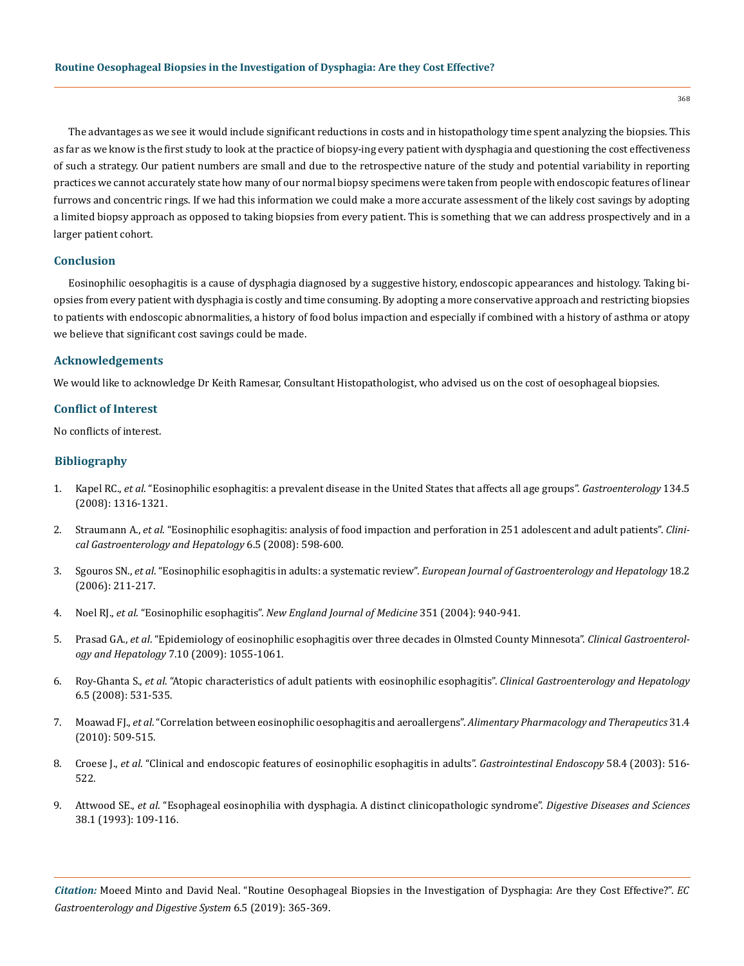The advantages as we see it would include significant reductions in costs and in histopathology time spent analyzing the biopsies. This as far as we know is the first study to look at the practice of biopsy-ing every patient with dysphagia and questioning the cost effectiveness of such a strategy. Our patient numbers are small and due to the retrospective nature of the study and potential variability in reporting practices we cannot accurately state how many of our normal biopsy specimens were taken from people with endoscopic features of linear furrows and concentric rings. If we had this information we could make a more accurate assessment of the likely cost savings by adopting a limited biopsy approach as opposed to taking biopsies from every patient. This is something that we can address prospectively and in a larger patient cohort.

#### **Conclusion**

Eosinophilic oesophagitis is a cause of dysphagia diagnosed by a suggestive history, endoscopic appearances and histology. Taking biopsies from every patient with dysphagia is costly and time consuming. By adopting a more conservative approach and restricting biopsies to patients with endoscopic abnormalities, a history of food bolus impaction and especially if combined with a history of asthma or atopy we believe that significant cost savings could be made.

#### **Acknowledgements**

We would like to acknowledge Dr Keith Ramesar, Consultant Histopathologist, who advised us on the cost of oesophageal biopsies.

#### **Conflict of Interest**

No conflicts of interest.

## **Bibliography**

- 1. Kapel RC., *et al*[. "Eosinophilic esophagitis: a prevalent disease in the United States that affects all age groups".](https://www.ncbi.nlm.nih.gov/pubmed/18471509) *Gastroenterology* 134.5 [\(2008\): 1316-1321.](https://www.ncbi.nlm.nih.gov/pubmed/18471509)
- 2. Straumann A., *et al*[. "Eosinophilic esophagitis: analysis of food impaction and perforation in 251 adolescent and adult patients".](https://www.ncbi.nlm.nih.gov/pubmed/18407800) *Clini[cal Gastroenterology and Hepatology](https://www.ncbi.nlm.nih.gov/pubmed/18407800)* 6.5 (2008): 598-600.
- 3. Sgouros SN., *et al*. "Eosinophilic esophagitis in adults: a systematic review". *[European Journal of Gastroenterology and Hepatology](https://www.ncbi.nlm.nih.gov/pubmed/16394804)* 18.2 [\(2006\): 211-217.](https://www.ncbi.nlm.nih.gov/pubmed/16394804)
- 4. Noel RJ., *et al*. "Eosinophilic esophagitis". *[New England Journal of Medicine](https://www.nejm.org/doi/full/10.1056/nejm200408263510924)* 351 (2004): 940-941.
- 5. Prasad GA., *et al*[. "Epidemiology of eosinophilic esophagitis over three decades in Olmsted County Minnesota".](https://www.ncbi.nlm.nih.gov/pubmed/19577011) *Clinical Gastroenterology and Hepatology* [7.10 \(2009\): 1055-1061.](https://www.ncbi.nlm.nih.gov/pubmed/19577011)
- 6. Roy-Ghanta S., *et al*[. "Atopic characteristics of adult patients with eosinophilic esophagitis".](https://www.ncbi.nlm.nih.gov/pubmed/18304887) *Clinical Gastroenterology and Hepatology*  [6.5 \(2008\): 531-535.](https://www.ncbi.nlm.nih.gov/pubmed/18304887)
- 7. Moawad FJ., *et al*[. "Correlation between eosinophilic oesophagitis and aeroallergens".](https://www.ncbi.nlm.nih.gov/pubmed/19925501) *Alimentary Pharmacology and Therapeutics* 31.4 [\(2010\): 509-515.](https://www.ncbi.nlm.nih.gov/pubmed/19925501)
- 8. Croese J., *et al*[. "Clinical and endoscopic features of eosinophilic esophagitis in adults".](https://www.ncbi.nlm.nih.gov/pubmed/14520283) *Gastrointestinal Endoscopy* 58.4 (2003): 516- [522.](https://www.ncbi.nlm.nih.gov/pubmed/14520283)
- 9. Attwood SE., *et al*[. "Esophageal eosinophilia with dysphagia. A distinct clinicopathologic syndrome".](https://www.ncbi.nlm.nih.gov/pubmed/8420741) *Digestive Diseases and Sciences*  [38.1 \(1993\): 109-116.](https://www.ncbi.nlm.nih.gov/pubmed/8420741)

*Citation:* Moeed Minto and David Neal. "Routine Oesophageal Biopsies in the Investigation of Dysphagia: Are they Cost Effective?". *EC Gastroenterology and Digestive System* 6.5 (2019): 365-369.

368